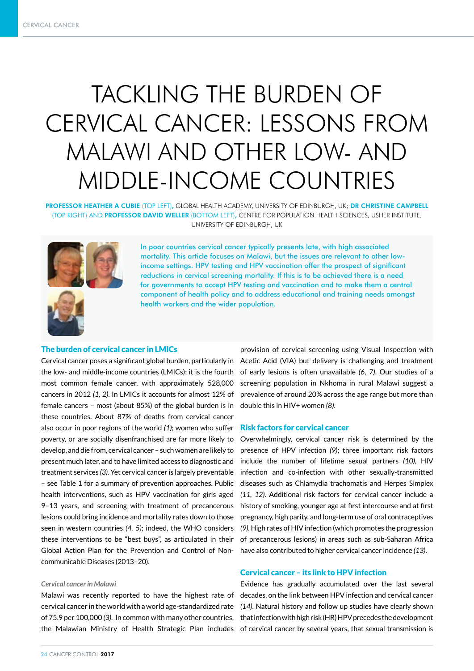# TACKLING THE BURDEN OF CERVICAL CANCER: LESSONS FROM MALAWI AND OTHER LOW- AND MIDDLE-INCOME COUNTRIES

PROFESSOR HEATHER A CUBIE (TOP LEFT), GLOBAL HEALTH ACADEMY, UNIVERSITY OF EDINBURGH, UK; DR CHRISTINE CAMPBELL (TOP RIGHT) AND PROFESSOR DAVID WELLER (BOTTOM LEFT), CENTRE FOR POPULATION HEALTH SCIENCES, USHER INSTITUTE, UNIVERSITY OF EDINBURGH, UK



In poor countries cervical cancer typically presents late, with high associated mortality. This article focuses on Malawi, but the issues are relevant to other lowincome settings. HPV testing and HPV vaccination offer the prospect of significant reductions in cervical screening mortality. If this is to be achieved there is a need for governments to accept HPV testing and vaccination and to make them a central component of health policy and to address educational and training needs amongst health workers and the wider population.

## The burden of cervical cancer in LMICs

Cervical cancer poses a significant global burden, particularly in the low- and middle-income countries (LMICs); it is the fourth most common female cancer, with approximately 528,000 cancers in 2012 *(1, 2)*. In LMICs it accounts for almost 12% of female cancers – most (about 85%) of the global burden is in these countries. About 87% of deaths from cervical cancer also occur in poor regions of the world *(1)*; women who suffer poverty, or are socially disenfranchised are far more likely to develop, and die from, cervical cancer – such women are likely to present much later, and to have limited access to diagnostic and treatment services *(3)*. Yet cervical cancer is largely preventable – see Table 1 for a summary of prevention approaches. Public health interventions, such as HPV vaccination for girls aged 9–13 years, and screening with treatment of precancerous lesions could bring incidence and mortality rates down to those seen in western countries *(4, 5)*; indeed, the WHO considers these interventions to be "best buys", as articulated in their Global Action Plan for the Prevention and Control of Noncommunicable Diseases (2013–20).

#### *Cervical cancer in Malawi*

Malawi was recently reported to have the highest rate of cervical cancer in the world with a world age-standardized rate of 75.9 per 100,000 *(3).* In common with many other countries, the Malawian Ministry of Health Strategic Plan includes

provision of cervical screening using Visual Inspection with Acetic Acid (VIA) but delivery is challenging and treatment of early lesions is often unavailable *(6, 7)*. Our studies of a screening population in Nkhoma in rural Malawi suggest a prevalence of around 20% across the age range but more than double this in HIV+ women *(8)*.

## Risk factors for cervical cancer

Overwhelmingly, cervical cancer risk is determined by the presence of HPV infection *(9)*; three important risk factors include the number of lifetime sexual partners *(10)*, HIV infection and co-infection with other sexually-transmitted diseases such as Chlamydia trachomatis and Herpes Simplex *(11, 12)*. Additional risk factors for cervical cancer include a history of smoking, younger age at first intercourse and at first pregnancy, high parity, and long-term use of oral contraceptives *(9).* High rates of HIV infection (which promotes the progression of precancerous lesions) in areas such as sub-Saharan Africa have also contributed to higher cervical cancer incidence *(13)*.

## Cervical cancer – its link to HPV infection

Evidence has gradually accumulated over the last several decades, on the link between HPV infection and cervical cancer *(14)*. Natural history and follow up studies have clearly shown that infection with high risk (HR) HPV precedes the development of cervical cancer by several years, that sexual transmission is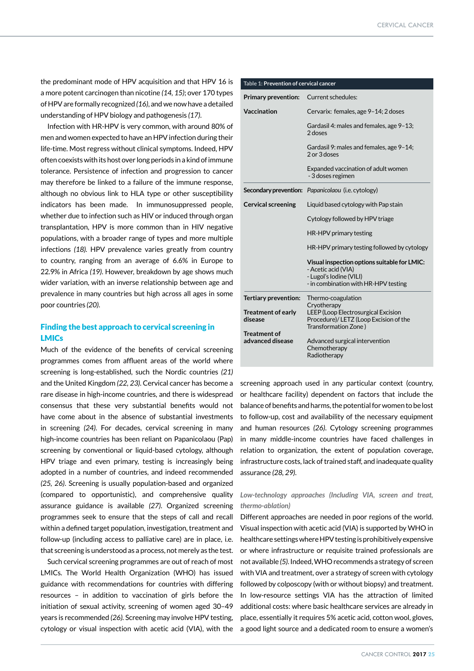the predominant mode of HPV acquisition and that HPV 16 is a more potent carcinogen than nicotine *(14, 15)*; over 170 types of HPV are formally recognized *(16)*, and we now have a detailed understanding of HPV biology and pathogenesis *(17)*.

Infection with HR-HPV is very common, with around 80% of men and women expected to have an HPV infection during their life-time. Most regress without clinical symptoms. Indeed, HPV often coexists with its host over long periods in a kind of immune tolerance. Persistence of infection and progression to cancer may therefore be linked to a failure of the immune response, although no obvious link to HLA type or other susceptibility indicators has been made. In immunosuppressed people, whether due to infection such as HIV or induced through organ transplantation, HPV is more common than in HIV negative populations, with a broader range of types and more multiple infections *(18).* HPV prevalence varies greatly from country to country, ranging from an average of 6.6% in Europe to 22.9% in Africa *(19)*. However, breakdown by age shows much wider variation, with an inverse relationship between age and prevalence in many countries but high across all ages in some poor countries *(20)*.

# Finding the best approach to cervical screening in LMICs

Much of the evidence of the benefits of cervical screening programmes comes from affluent areas of the world where screening is long-established, such the Nordic countries *(21)*  and the United Kingdom *(22, 23)*. Cervical cancer has become a rare disease in high-income countries, and there is widespread consensus that these very substantial benefits would not have come about in the absence of substantial investments in screening *(24)*. For decades, cervical screening in many high-income countries has been reliant on Papanicolaou (Pap) screening by conventional or liquid-based cytology, although HPV triage and even primary, testing is increasingly being adopted in a number of countries, and indeed recommended *(25, 26)*. Screening is usually population-based and organized (compared to opportunistic), and comprehensive quality assurance guidance is available *(27)*. Organized screening programmes seek to ensure that the steps of call and recall within a defined target population, investigation, treatment and follow-up (including access to palliative care) are in place, i.e. that screening is understood as a process, not merely as the test.

Such cervical screening programmes are out of reach of most LMICs. The World Health Organization (WHO) has issued guidance with recommendations for countries with differing resources – in addition to vaccination of girls before the initiation of sexual activity, screening of women aged 30–49 years is recommended *(26).* Screening may involve HPV testing, cytology or visual inspection with acetic acid (VIA), with the

| Table 1: Prevention of cervical cancer  |                                                                                                                                        |
|-----------------------------------------|----------------------------------------------------------------------------------------------------------------------------------------|
| <b>Primary prevention:</b>              | Current schedules:                                                                                                                     |
| Vaccination                             | Cervarix: females, age 9-14; 2 doses                                                                                                   |
|                                         | Gardasil 4: males and females, age 9-13;<br>2 doses                                                                                    |
|                                         | Gardasil 9: males and females, age 9-14;<br>2 or 3 doses                                                                               |
|                                         | Expanded vaccination of adult women<br>- 3 doses regimen                                                                               |
|                                         | Secondary prevention: Papanicolaou (i.e. cytology)                                                                                     |
| <b>Cervical screening</b>               | Liquid based cytology with Pap stain                                                                                                   |
|                                         | Cytology followed by HPV triage                                                                                                        |
|                                         | HR-HPV primary testing                                                                                                                 |
|                                         | HR-HPV primary testing followed by cytology                                                                                            |
|                                         | Visual inspection options suitable for LMIC:<br>- Acetic acid (VIA)<br>- Lugol's Iodine (VILI)<br>- in combination with HR-HPV testing |
| Tertiary prevention:                    | Thermo-coagulation<br>Cryotherapy                                                                                                      |
| <b>Treatment of early</b><br>disease    | LEEP (Loop Electrosurgical Excision<br>Procedure)/LETZ (Loop Excision of the<br>Transformation Zone)                                   |
| <b>Treatment of</b><br>advanced disease | Advanced surgical intervention<br>Chemotherapy<br>Radiotherapy                                                                         |
|                                         |                                                                                                                                        |

screening approach used in any particular context (country, or healthcare facility) dependent on factors that include the balance of benefits and harms, the potential for women to be lost to follow-up, cost and availability of the necessary equipment and human resources *(26)*. Cytology screening programmes in many middle-income countries have faced challenges in relation to organization, the extent of population coverage, infrastructure costs, lack of trained staff, and inadequate quality assurance *(28, 29)*.

# *Low-technology approaches (Including VIA, screen and treat, thermo-ablation)*

Different approaches are needed in poor regions of the world. Visual inspection with acetic acid (VIA) is supported by WHO in healthcare settings where HPV testing is prohibitively expensive or where infrastructure or requisite trained professionals are not available *(5).* Indeed, WHO recommends a strategy of screen with VIA and treatment, over a strategy of screen with cytology followed by colposcopy (with or without biopsy) and treatment. In low-resource settings VIA has the attraction of limited additional costs: where basic healthcare services are already in place, essentially it requires 5% acetic acid, cotton wool, gloves, a good light source and a dedicated room to ensure a women's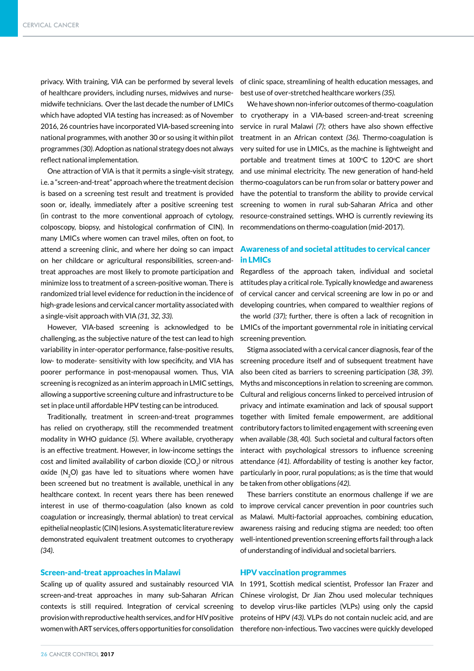privacy. With training, VIA can be performed by several levels of clinic space, streamlining of health education messages, and of healthcare providers, including nurses, midwives and nursemidwife technicians. Over the last decade the number of LMICs which have adopted VIA testing has increased: as of November 2016, 26 countries have incorporated VIA-based screening into national programmes, with another 30 or so using it within pilot programmes *(30)*. Adoption as national strategy does not always reflect national implementation.

One attraction of VIA is that it permits a single-visit strategy, i.e. a "screen-and-treat" approach where the treatment decision is based on a screening test result and treatment is provided soon or, ideally, immediately after a positive screening test (in contrast to the more conventional approach of cytology, colposcopy, biopsy, and histological confirmation of CIN). In many LMICs where women can travel miles, often on foot, to attend a screening clinic, and where her doing so can impact on her childcare or agricultural responsibilities, screen-andtreat approaches are most likely to promote participation and minimize loss to treatment of a screen-positive woman. There is randomized trial level evidence for reduction in the incidence of high-grade lesions and cervical cancer mortality associated with a single-visit approach with VIA *(31, 32, 33).*

However, VIA-based screening is acknowledged to be challenging, as the subjective nature of the test can lead to high variability in inter-operator performance, false-positive results, low- to moderate- sensitivity with low specificity, and VIA has poorer performance in post-menopausal women. Thus, VIA screening is recognized as an interim approach in LMIC settings, allowing a supportive screening culture and infrastructure to be set in place until affordable HPV testing can be introduced.

Traditionally, treatment in screen-and-treat programmes has relied on cryotherapy, still the recommended treatment modality in WHO guidance *(5)*. Where available, cryotherapy is an effective treatment. However, in low-income settings the cost and limited availability of carbon dioxide (CO<sub>2</sub>) or nitrous oxide (N<sub>2</sub>O) gas have led to situations where women have been screened but no treatment is available, unethical in any healthcare context. In recent years there has been renewed interest in use of thermo-coagulation (also known as cold coagulation or increasingly, thermal ablation) to treat cervical epithelial neoplastic (CIN) lesions. A systematic literature review demonstrated equivalent treatment outcomes to cryotherapy *(34)*.

## Screen-and-treat approaches in Malawi

Scaling up of quality assured and sustainably resourced VIA screen-and-treat approaches in many sub-Saharan African contexts is still required. Integration of cervical screening provision with reproductive health services, and for HIV positive women with ART services, offers opportunities for consolidation

best use of over-stretched healthcare workers *(35).* 

We have shown non-inferior outcomes of thermo-coagulation to cryotherapy in a VIA-based screen-and-treat screening service in rural Malawi *(7)*; others have also shown effective treatment in an African context *(36)*. Thermo-coagulation is very suited for use in LMICs, as the machine is lightweight and portable and treatment times at  $100^{\circ}$ C to  $120^{\circ}$ C are short and use minimal electricity. The new generation of hand-held thermo-coagulators can be run from solar or battery power and have the potential to transform the ability to provide cervical screening to women in rural sub-Saharan Africa and other resource-constrained settings. WHO is currently reviewing its recommendations on thermo-coagulation (mid-2017).

# Awareness of and societal attitudes to cervical cancer in LMICs

Regardless of the approach taken, individual and societal attitudes play a critical role. Typically knowledge and awareness of cervical cancer and cervical screening are low in po or and developing countries, when compared to wealthier regions of the world *(37);* further, there is often a lack of recognition in LMICs of the important governmental role in initiating cervical screening prevention.

Stigma associated with a cervical cancer diagnosis, fear of the screening procedure itself and of subsequent treatment have also been cited as barriers to screening participation (*38, 39)*. Myths and misconceptions in relation to screening are common. Cultural and religious concerns linked to perceived intrusion of privacy and intimate examination and lack of spousal support together with limited female empowerment, are additional contributory factors to limited engagement with screening even when available *(38, 40).* Such societal and cultural factors often interact with psychological stressors to influence screening attendance *(41)*. Affordability of testing is another key factor, particularly in poor, rural populations; as is the time that would be taken from other obligations *(42)*.

These barriers constitute an enormous challenge if we are to improve cervical cancer prevention in poor countries such as Malawi. Multi-factorial approaches, combining education, awareness raising and reducing stigma are needed; too often well-intentioned prevention screening efforts fail through a lack of understanding of individual and societal barriers.

## HPV vaccination programmes

In 1991, Scottish medical scientist, Professor Ian Frazer and Chinese virologist, Dr Jian Zhou used molecular techniques to develop virus-like particles (VLPs) using only the capsid proteins of HPV *(43)*. VLPs do not contain nucleic acid, and are therefore non-infectious. Two vaccines were quickly developed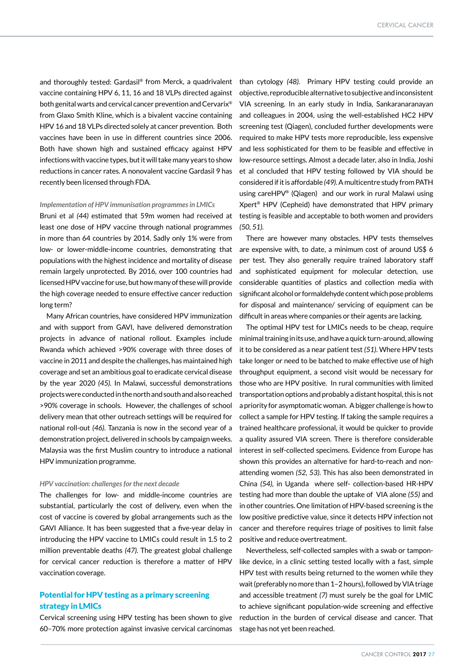and thoroughly tested: Gardasil® from Merck, a quadrivalent vaccine containing HPV 6, 11, 16 and 18 VLPs directed against both genital warts and cervical cancer prevention and Cervarix® from Glaxo Smith Kline, which is a bivalent vaccine containing HPV 16 and 18 VLPs directed solely at cancer prevention. Both vaccines have been in use in different countries since 2006. Both have shown high and sustained efficacy against HPV infections with vaccine types, but it will take many years to show reductions in cancer rates. A nonovalent vaccine Gardasil 9 has recently been licensed through FDA.

#### *Implementation of HPV immunisation programmes in LMICs*

Bruni et al *(44)* estimated that 59m women had received at least one dose of HPV vaccine through national programmes in more than 64 countries by 2014. Sadly only 1% were from low- or lower-middle-income countries, demonstrating that populations with the highest incidence and mortality of disease remain largely unprotected. By 2016, over 100 countries had licensed HPV vaccine for use, but how many of these will provide the high coverage needed to ensure effective cancer reduction long term?

Many African countries, have considered HPV immunization and with support from GAVI, have delivered demonstration projects in advance of national rollout. Examples include Rwanda which achieved >90% coverage with three doses of vaccine in 2011 and despite the challenges, has maintained high coverage and set an ambitious goal to eradicate cervical disease by the year 2020 *(45).* In Malawi, successful demonstrations projects were conducted in the north and south and also reached >90% coverage in schools. However, the challenges of school delivery mean that other outreach settings will be required for national roll-out *(46)*. Tanzania is now in the second year of a demonstration project, delivered in schools by campaign weeks. Malaysia was the first Muslim country to introduce a national HPV immunization programme.

## *HPV vaccination: challenges for the next decade*

The challenges for low- and middle-income countries are substantial, particularly the cost of delivery, even when the cost of vaccine is covered by global arrangements such as the GAVI Alliance. It has been suggested that a five-year delay in introducing the HPV vaccine to LMICs could result in 1.5 to 2 million preventable deaths *(47).* The greatest global challenge for cervical cancer reduction is therefore a matter of HPV vaccination coverage.

## Potential for HPV testing as a primary screening strategy in LMICs

Cervical screening using HPV testing has been shown to give 60–70% more protection against invasive cervical carcinomas than cytology *(48)*. Primary HPV testing could provide an objective, reproducible alternative to subjective and inconsistent VIA screening. In an early study in India, Sankaranaranayan and colleagues in 2004, using the well-established HC2 HPV screening test (Qiagen), concluded further developments were required to make HPV tests more reproducible, less expensive and less sophisticated for them to be feasible and effective in low-resource settings. Almost a decade later, also in India, Joshi et al concluded that HPV testing followed by VIA should be considered if it is affordable *(49)*. A multicentre study from PATH using careHPV® (Qiagen) and our work in rural Malawi using Xpert® HPV (Cepheid) have demonstrated that HPV primary testing is feasible and acceptable to both women and providers *(50, 51).*

There are however many obstacles. HPV tests themselves are expensive with, to date, a minimum cost of around US\$ 6 per test. They also generally require trained laboratory staff and sophisticated equipment for molecular detection, use considerable quantities of plastics and collection media with significant alcohol or formaldehyde content which pose problems for disposal and maintenance/ servicing of equipment can be difficult in areas where companies or their agents are lacking.

The optimal HPV test for LMICs needs to be cheap, require minimal training in its use, and have a quick turn-around, allowing it to be considered as a near patient test *(51)*. Where HPV tests take longer or need to be batched to make effective use of high throughput equipment, a second visit would be necessary for those who are HPV positive. In rural communities with limited transportation options and probably a distant hospital, this is not a priority for asymptomatic woman. A bigger challenge is how to collect a sample for HPV testing. If taking the sample requires a trained healthcare professional, it would be quicker to provide a quality assured VIA screen. There is therefore considerable interest in self-collected specimens. Evidence from Europe has shown this provides an alternative for hard-to-reach and nonattending women *(52, 53)*. This has also been demonstrated in China *(54),* in Uganda where self- collection-based HR-HPV testing had more than double the uptake of VIA alone *(55)* and in other countries. One limitation of HPV-based screening is the low positive predictive value, since it detects HPV infection not cancer and therefore requires triage of positives to limit false positive and reduce overtreatment.

Nevertheless, self-collected samples with a swab or tamponlike device, in a clinic setting tested locally with a fast, simple HPV test with results being returned to the women while they wait (preferably no more than 1–2 hours), followed by VIA triage and accessible treatment *(7)* must surely be the goal for LMIC to achieve significant population-wide screening and effective reduction in the burden of cervical disease and cancer. That stage has not yet been reached.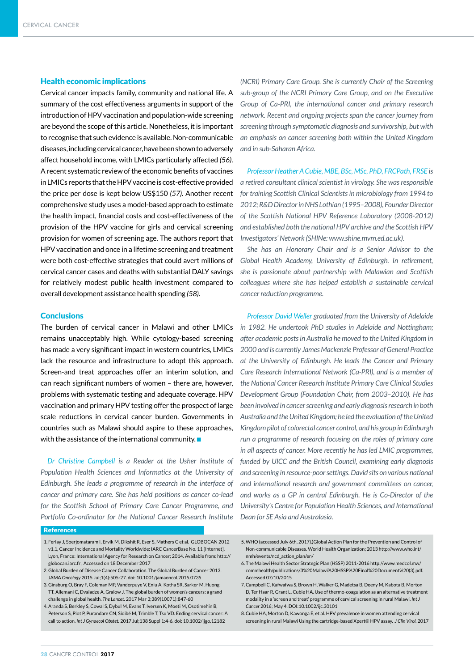### Health economic implications

Cervical cancer impacts family, community and national life. A summary of the cost effectiveness arguments in support of the introduction of HPV vaccination and population-wide screening are beyond the scope of this article. Nonetheless, it is important to recognise that such evidence is available. Non-communicable diseases, including cervical cancer, have been shown to adversely affect household income, with LMICs particularly affected *(56)*. A recent systematic review of the economic benefits of vaccines in LMICs reports that the HPV vaccine is cost-effective provided the price per dose is kept below US\$150 *(57)*. Another recent comprehensive study uses a model-based approach to estimate the health impact, financial costs and cost-effectiveness of the provision of the HPV vaccine for girls and cervical screening provision for women of screening age. The authors report that HPV vaccination and once in a lifetime screening and treatment were both cost-effective strategies that could avert millions of cervical cancer cases and deaths with substantial DALY savings for relatively modest public health investment compared to overall development assistance health spending *(58)*.

#### **Conclusions**

The burden of cervical cancer in Malawi and other LMICs remains unacceptably high. While cytology-based screening has made a very significant impact in western countries, LMICs lack the resource and infrastructure to adopt this approach. Screen-and treat approaches offer an interim solution, and can reach significant numbers of women – there are, however, problems with systematic testing and adequate coverage. HPV vaccination and primary HPV testing offer the prospect of large scale reductions in cervical cancer burden. Governments in countries such as Malawi should aspire to these approaches, with the assistance of the international community.  $\square$ 

*Dr Christine Campbell is a Reader at the Usher Institute of Population Health Sciences and Informatics at the University of Edinburgh. She leads a programme of research in the interface of cancer and primary care. She has held positions as cancer co-lead for the Scottish School of Primary Care Cancer Programme, and Portfolio Co-ordinator for the National Cancer Research Institute* 

*(NCRI) Primary Care Group. She is currently Chair of the Screening sub-group of the NCRI Primary Care Group, and on the Executive Group of Ca-PRI, the international cancer and primary research network. Recent and ongoing projects span the cancer journey from screening through symptomatic diagnosis and survivorship, but with an emphasis on cancer screening both within the United Kingdom and in sub-Saharan Africa.*

*Professor Heather A Cubie, MBE, BSc, MSc, PhD, FRCPath, FRSE is a retired consultant clinical scientist in virology. She was responsible for training Scottish Clinical Scientists in microbiology from 1994 to 2012; R&D Director in NHS Lothian (1995–2008), Founder Director of the Scottish National HPV Reference Laboratory (2008-2012) and established both the national HPV archive and the Scottish HPV Investigators' Network (SHINe: www.shine.mvm.ed.ac.uk).*

*She has an Honorary Chair and is a Senior Advisor to the Global Health Academy, University of Edinburgh. In retirement, she is passionate about partnership with Malawian and Scottish colleagues where she has helped establish a sustainable cervical cancer reduction programme.* 

*Professor David Weller graduated from the University of Adelaide in 1982. He undertook PhD studies in Adelaide and Nottingham; after academic posts in Australia he moved to the United Kingdom in 2000 and is currently James Mackenzie Professor of General Practice at the University of Edinburgh. He leads the Cancer and Primary Care Research International Network (Ca-PRI), and is a member of the National Cancer Research Institute Primary Care Clinical Studies Development Group (Foundation Chair, from 2003–2010). He has been involved in cancer screening and early diagnosis research in both Australia and the United Kingdom; he led the evaluation of the United Kingdom pilot of colorectal cancer control, and his group in Edinburgh run a programme of research focusing on the roles of primary care in all aspects of cancer. More recently he has led LMIC programmes, funded by UICC and the British Council, examining early diagnosis and screening in resource-poor settings. David sits on various national and international research and government committees on cancer, and works as a GP in central Edinburgh. He is Co-Director of the University's Centre for Population Health Sciences, and International Dean for SE Asia and Australasia.*

#### References

- 1. Ferlay J, Soerjomataram I, Ervik M, Dikshit R, Eser S, Mathers C et al. GLOBOCAN 2012 v1.1, Cancer Incidence and Mortality Worldwide: IARC CancerBase No. 11 [Internet]. Lyon, France: International Agency for Research on Cancer; 2014. Available from: http:// globocan.iarc.fr , Accessed on 18 December 2017
- 2. Global Burden of Disease Cancer Collaboration. The Global Burden of Cancer 2013. JAMA *Oncology* 2015 Jul;1(4):505-27. doi: 10.1001/jamaoncol.2015.0735
- 3. Ginsburg O, Bray F, Coleman MP, Vanderpuye V, Eniu A, Kotha SR, Sarker M, Huong TT, Allemani C, Dvaladze A, Gralow J. The global burden of women's cancers: a grand challenge in global health. *The Lancet*. 2017 Mar 3;389(10071):847-60
- 4.Aranda S, Berkley S, Cowal S, Dybul M, Evans T, Iversen K, Moeti M, Osotimehin B, Peterson S, Piot P, Purandare CN, Sidibé M, Trimble T, Tsu VD. Ending cervical cancer: A call to action. *Int J Gynaecol Obstet.* 2017 Jul;138 Suppl 1:4-6. doi: 10.1002/ijgo.12182
- 5.WHO (accessed July 6th, 2017).)Global Action Plan for the Prevention and Control of Non-communicable Diseases. World Health Organization; 2013 http://www.who.int/ nmh/events/ncd\_action\_plan/en/
- 6. The Malawi Health Sector Strategic Plan (HSSP) 2011-2016 http://www.medcol.mw/ commhealth/publications/3%20Malawi%20HSSP%20Final%20Document%20(3).pdf. Accessed 07/10/2015
- 7.Campbell C, Kafwafwa S, Brown H, Walker G, Madetsa B, Deeny M, Kabota B, Morton D, Ter Haar R, Grant L, Cubie HA. Use of thermo-coagulation as an alternative treatment modality in a 'screen and treat' programme of cervical screening in rural Malawi. *Int J Cancer* 2016; May 4. DOI:10.1002/ijc.30101

8.Cubie HA, Morton D, Kawonga E, et al. HPV prevalence in women attending cervical screening in rural Malawi Using the cartridge-based Xpert® HPV assay. *J Clin Virol.* 2017